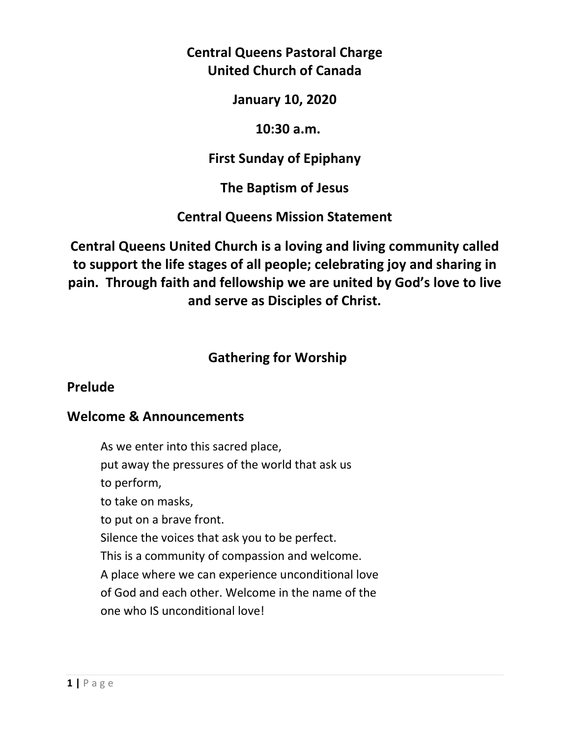# **Central Queens Pastoral Charge United Church of Canada**

**January 10, 2020** 

### **10:30 a.m.**

# **First Sunday of Epiphany**

# **The Baptism of Jesus**

# **Central Queens Mission Statement**

**Central Queens United Church is a loving and living community called to support the life stages of all people; celebrating joy and sharing in pain. Through faith and fellowship we are united by God's love to live and serve as Disciples of Christ.**

# **Gathering for Worship**

## **Prelude**

## **Welcome & Announcements**

As we enter into this sacred place, put away the pressures of the world that ask us

to perform,

to take on masks,

to put on a brave front.

Silence the voices that ask you to be perfect.

This is a community of compassion and welcome.

A place where we can experience unconditional love

of God and each other. Welcome in the name of the

one who IS unconditional love!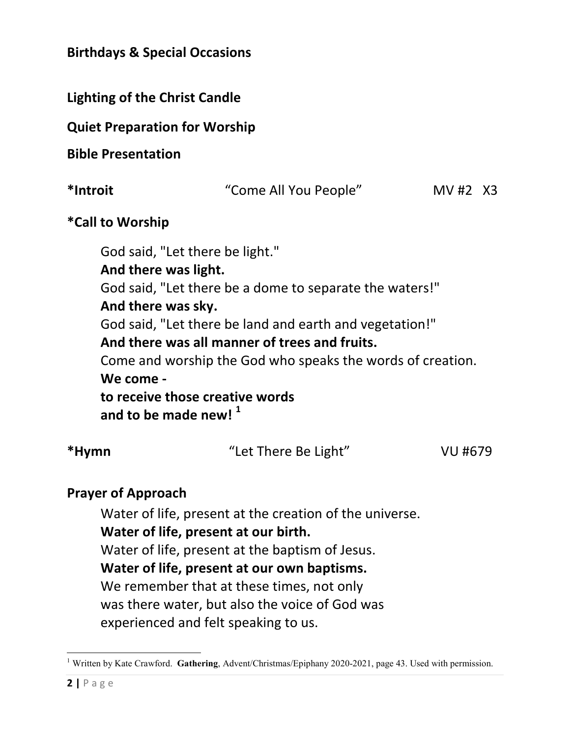**Birthdays & Special Occasions** 

**Lighting of the Christ Candle** 

**Quiet Preparation for Worship** 

**Bible Presentation** 

| *Introit                 | "Come All You People" | MV#2 $X3$ |
|--------------------------|-----------------------|-----------|
| <i>*</i> Call to Worship |                       |           |
|                          |                       |           |

God said, "Let there be light." **And there was light.**  God said, "Let there be a dome to separate the waters!" **And there was sky.**  God said, "Let there be land and earth and vegetation!" **And there was all manner of trees and fruits.**  Come and worship the God who speaks the words of creation. **We come to receive those creative words and to be made new! <sup>1</sup>**

| *Hymn | "Let There Be Light" | VU #679 |
|-------|----------------------|---------|
|       |                      |         |

### **Prayer of Approach**

 Water of life, present at the creation of the universe. **Water of life, present at our birth.**  Water of life, present at the baptism of Jesus. **Water of life, present at our own baptisms.**  We remember that at these times, not only was there water, but also the voice of God was experienced and felt speaking to us.

<sup>&</sup>lt;u>.</u> <sup>1</sup> Written by Kate Crawford. Gathering, Advent/Christmas/Epiphany 2020-2021, page 43. Used with permission.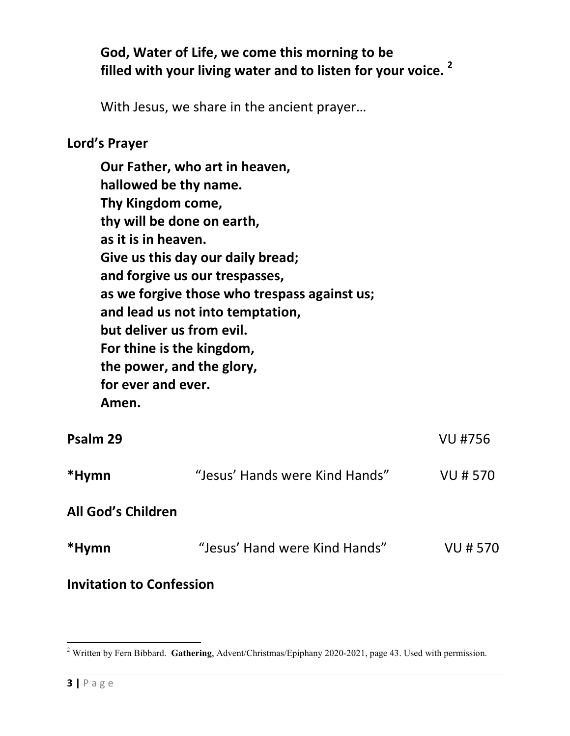# **God, Water of Life, we come this morning to be filled with your living water and to listen for your voice. <sup>2</sup>**

With Jesus, we share in the ancient prayer…

#### **Lord's Prayer**

**Our Father, who art in heaven, hallowed be thy name. Thy Kingdom come, thy will be done on earth, as it is in heaven. Give us this day our daily bread; and forgive us our trespasses, as we forgive those who trespass against us; and lead us not into temptation, but deliver us from evil. For thine is the kingdom, the power, and the glory, for ever and ever. Amen.** 

| Psalm 29                        |                                | <b>VU #756</b> |
|---------------------------------|--------------------------------|----------------|
| *Hymn                           | "Jesus' Hands were Kind Hands" | <b>VU#570</b>  |
| All God's Children              |                                |                |
| *Hymn                           | "Jesus' Hand were Kind Hands"  | <b>VU#570</b>  |
| <b>Invitation to Confession</b> |                                |                |

 2 Written by Fern Bibbard. **Gathering**, Advent/Christmas/Epiphany 2020-2021, page 43. Used with permission.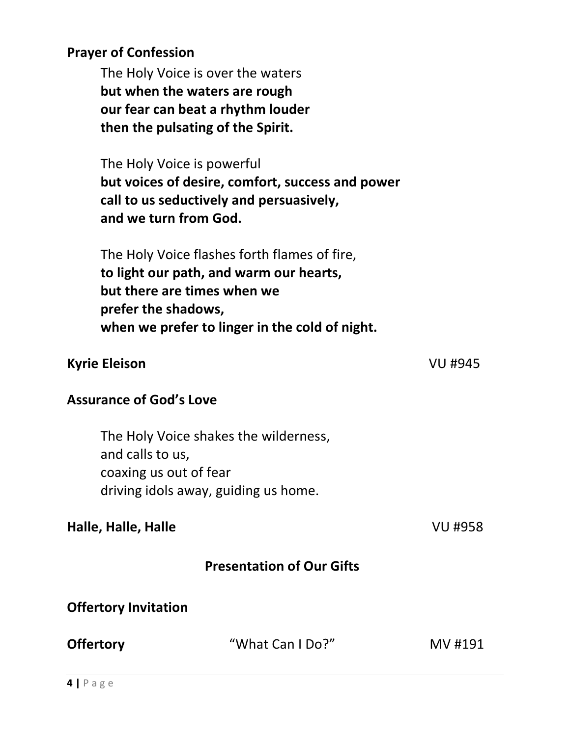#### **Prayer of Confession**

The Holy Voice is over the waters  **but when the waters are rough our fear can beat a rhythm louder then the pulsating of the Spirit.** 

The Holy Voice is powerful  **but voices of desire, comfort, success and power call to us seductively and persuasively, and we turn from God.** 

The Holy Voice flashes forth flames of fire,  **to light our path, and warm our hearts, but there are times when we prefer the shadows, when we prefer to linger in the cold of night.** 

#### **Kyrie Eleison** VU #945

### **Assurance of God's Love**

The Holy Voice shakes the wilderness, and calls to us, coaxing us out of fear driving idols away, guiding us home.

### **Halle, Halle, Halle** VU #958

## **Presentation of Our Gifts**

### **Offertory Invitation**

| <b>Offertory</b> | "What Can I Do?" | MV #191 |
|------------------|------------------|---------|
|                  |                  |         |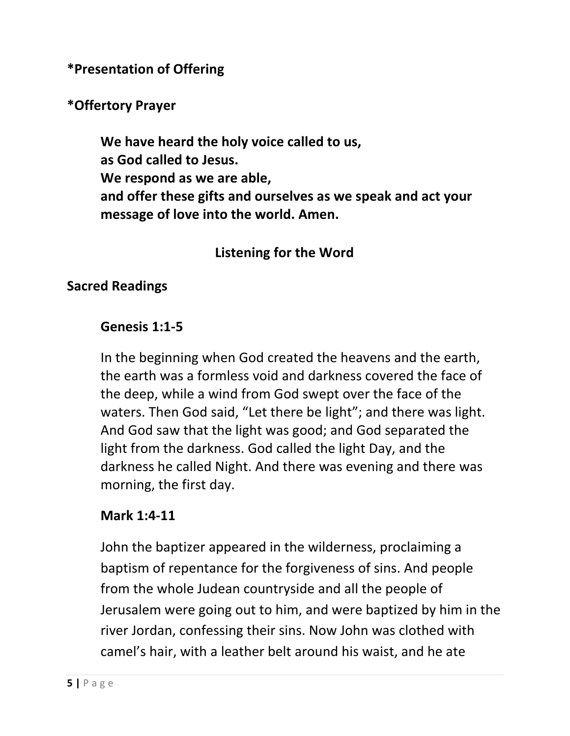**\*Presentation of Offering** 

### **\*Offertory Prayer**

 **We have heard the holy voice called to us, as God called to Jesus. We respond as we are able, and offer these gifts and ourselves as we speak and act your message of love into the world. Amen.** 

# **Listening for the Word**

## **Sacred Readings**

### **Genesis 1:1-5**

 In the beginning when God created the heavens and the earth, the earth was a formless void and darkness covered the face of the deep, while a wind from God swept over the face of the waters. Then God said, "Let there be light"; and there was light. And God saw that the light was good; and God separated the light from the darkness. God called the light Day, and the darkness he called Night. And there was evening and there was morning, the first day.

### **Mark 1:4-11**

John the baptizer appeared in the wilderness, proclaiming a baptism of repentance for the forgiveness of sins. And people from the whole Judean countryside and all the people of Jerusalem were going out to him, and were baptized by him in the river Jordan, confessing their sins. Now John was clothed with camel's hair, with a leather belt around his waist, and he ate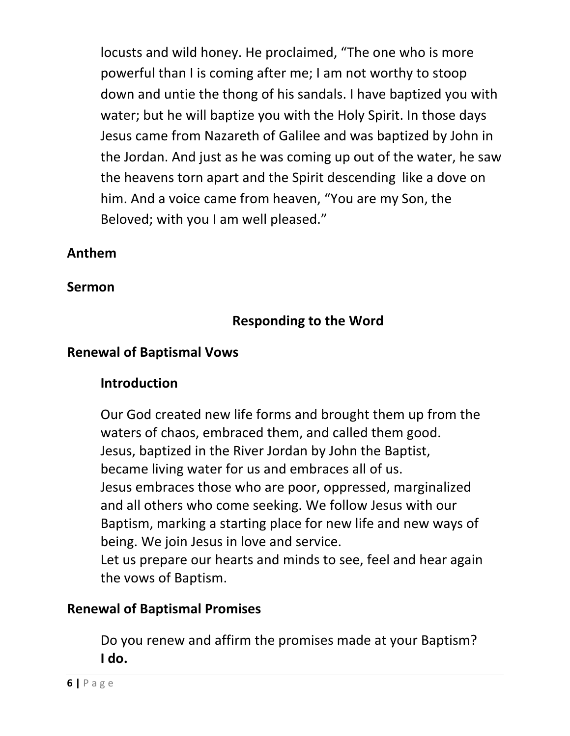locusts and wild honey. He proclaimed, "The one who is more powerful than I is coming after me; I am not worthy to stoop down and untie the thong of his sandals. I have baptized you with water; but he will baptize you with the Holy Spirit. In those days Jesus came from Nazareth of Galilee and was baptized by John in the Jordan. And just as he was coming up out of the water, he saw the heavens torn apart and the Spirit descending like a dove on him. And a voice came from heaven, "You are my Son, the Beloved; with you I am well pleased."

### **Anthem**

### **Sermon**

# **Responding to the Word**

### **Renewal of Baptismal Vows**

### **Introduction**

 Our God created new life forms and brought them up from the waters of chaos, embraced them, and called them good. Jesus, baptized in the River Jordan by John the Baptist, became living water for us and embraces all of us. Jesus embraces those who are poor, oppressed, marginalized and all others who come seeking. We follow Jesus with our Baptism, marking a starting place for new life and new ways of being. We join Jesus in love and service. Let us prepare our hearts and minds to see, feel and hear again the vows of Baptism.

## **Renewal of Baptismal Promises**

 Do you renew and affirm the promises made at your Baptism? **I do.**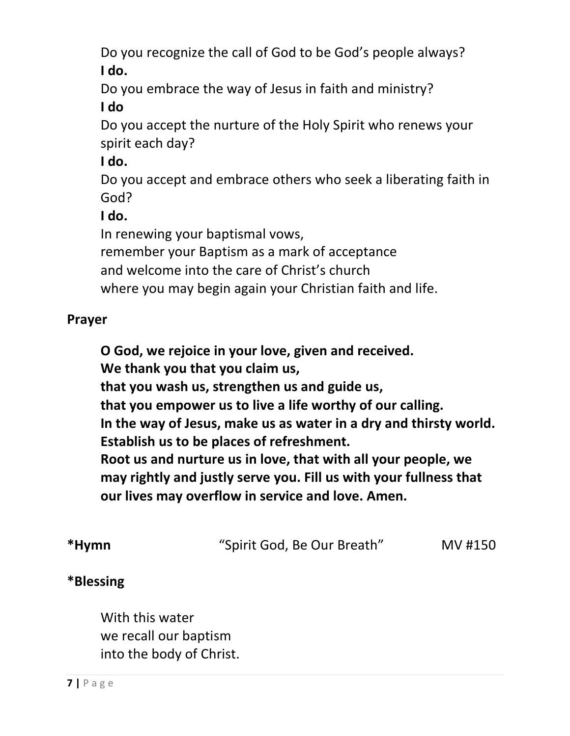Do you recognize the call of God to be God's people always?  **I do.** 

 Do you embrace the way of Jesus in faith and ministry?  **I do** 

 Do you accept the nurture of the Holy Spirit who renews your spirit each day?

 **I do.** 

 Do you accept and embrace others who seek a liberating faith in God?

 **I do.** 

In renewing your baptismal vows,

remember your Baptism as a mark of acceptance

and welcome into the care of Christ's church

where you may begin again your Christian faith and life.

# **Prayer**

**O God, we rejoice in your love, given and received. We thank you that you claim us, that you wash us, strengthen us and guide us, that you empower us to live a life worthy of our calling. In the way of Jesus, make us as water in a dry and thirsty world. Establish us to be places of refreshment. Root us and nurture us in love, that with all your people, we may rightly and justly serve you. Fill us with your fullness that our lives may overflow in service and love. Amen.** 

| *Hymn | "Spirit God, Be Our Breath" | MV #150 |
|-------|-----------------------------|---------|
|       |                             |         |

# **\*Blessing**

With this water we recall our baptism into the body of Christ.